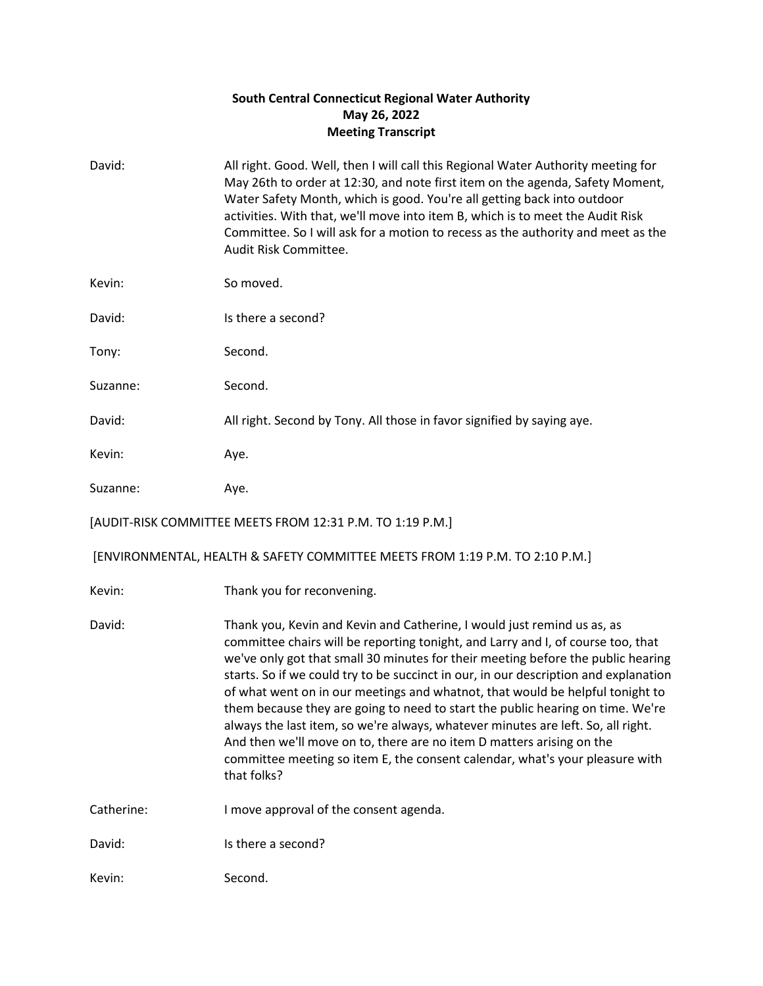## **South Central Connecticut Regional Water Authority May 26, 2022 Meeting Transcript**

| David:     | All right. Good. Well, then I will call this Regional Water Authority meeting for<br>May 26th to order at 12:30, and note first item on the agenda, Safety Moment,<br>Water Safety Month, which is good. You're all getting back into outdoor<br>activities. With that, we'll move into item B, which is to meet the Audit Risk<br>Committee. So I will ask for a motion to recess as the authority and meet as the<br>Audit Risk Committee.                                                                                                                                                                                                                                                                                                                           |
|------------|------------------------------------------------------------------------------------------------------------------------------------------------------------------------------------------------------------------------------------------------------------------------------------------------------------------------------------------------------------------------------------------------------------------------------------------------------------------------------------------------------------------------------------------------------------------------------------------------------------------------------------------------------------------------------------------------------------------------------------------------------------------------|
| Kevin:     | So moved.                                                                                                                                                                                                                                                                                                                                                                                                                                                                                                                                                                                                                                                                                                                                                              |
| David:     | Is there a second?                                                                                                                                                                                                                                                                                                                                                                                                                                                                                                                                                                                                                                                                                                                                                     |
| Tony:      | Second.                                                                                                                                                                                                                                                                                                                                                                                                                                                                                                                                                                                                                                                                                                                                                                |
| Suzanne:   | Second.                                                                                                                                                                                                                                                                                                                                                                                                                                                                                                                                                                                                                                                                                                                                                                |
| David:     | All right. Second by Tony. All those in favor signified by saying aye.                                                                                                                                                                                                                                                                                                                                                                                                                                                                                                                                                                                                                                                                                                 |
| Kevin:     | Aye.                                                                                                                                                                                                                                                                                                                                                                                                                                                                                                                                                                                                                                                                                                                                                                   |
| Suzanne:   | Aye.                                                                                                                                                                                                                                                                                                                                                                                                                                                                                                                                                                                                                                                                                                                                                                   |
|            | [AUDIT-RISK COMMITTEE MEETS FROM 12:31 P.M. TO 1:19 P.M.]                                                                                                                                                                                                                                                                                                                                                                                                                                                                                                                                                                                                                                                                                                              |
|            | [ENVIRONMENTAL, HEALTH & SAFETY COMMITTEE MEETS FROM 1:19 P.M. TO 2:10 P.M.]                                                                                                                                                                                                                                                                                                                                                                                                                                                                                                                                                                                                                                                                                           |
| Kevin:     | Thank you for reconvening.                                                                                                                                                                                                                                                                                                                                                                                                                                                                                                                                                                                                                                                                                                                                             |
| David:     | Thank you, Kevin and Kevin and Catherine, I would just remind us as, as<br>committee chairs will be reporting tonight, and Larry and I, of course too, that<br>we've only got that small 30 minutes for their meeting before the public hearing<br>starts. So if we could try to be succinct in our, in our description and explanation<br>of what went on in our meetings and whatnot, that would be helpful tonight to<br>them because they are going to need to start the public hearing on time. We're<br>always the last item, so we're always, whatever minutes are left. So, all right.<br>And then we'll move on to, there are no item D matters arising on the<br>committee meeting so item E, the consent calendar, what's your pleasure with<br>that folks? |
| Catherine: | I move approval of the consent agenda.                                                                                                                                                                                                                                                                                                                                                                                                                                                                                                                                                                                                                                                                                                                                 |
| David:     | Is there a second?                                                                                                                                                                                                                                                                                                                                                                                                                                                                                                                                                                                                                                                                                                                                                     |
| Kevin:     | Second.                                                                                                                                                                                                                                                                                                                                                                                                                                                                                                                                                                                                                                                                                                                                                                |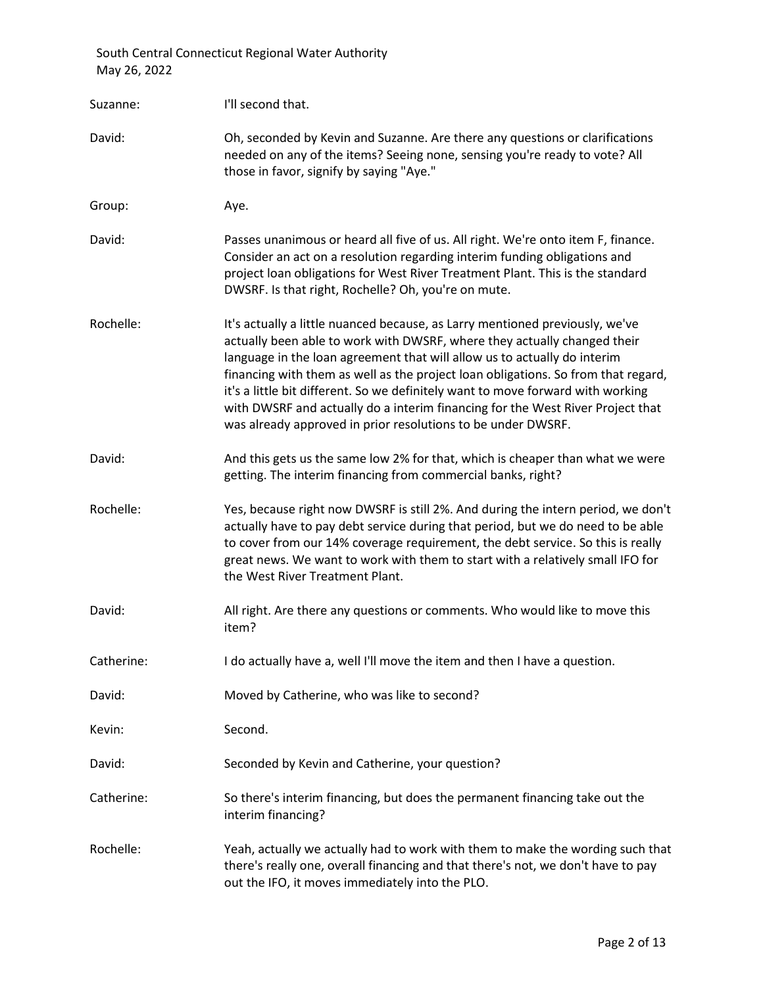| Suzanne:   | I'll second that.                                                                                                                                                                                                                                                                                                                                                                                                                                                                                                                                              |
|------------|----------------------------------------------------------------------------------------------------------------------------------------------------------------------------------------------------------------------------------------------------------------------------------------------------------------------------------------------------------------------------------------------------------------------------------------------------------------------------------------------------------------------------------------------------------------|
| David:     | Oh, seconded by Kevin and Suzanne. Are there any questions or clarifications<br>needed on any of the items? Seeing none, sensing you're ready to vote? All<br>those in favor, signify by saying "Aye."                                                                                                                                                                                                                                                                                                                                                         |
| Group:     | Aye.                                                                                                                                                                                                                                                                                                                                                                                                                                                                                                                                                           |
| David:     | Passes unanimous or heard all five of us. All right. We're onto item F, finance.<br>Consider an act on a resolution regarding interim funding obligations and<br>project loan obligations for West River Treatment Plant. This is the standard<br>DWSRF. Is that right, Rochelle? Oh, you're on mute.                                                                                                                                                                                                                                                          |
| Rochelle:  | It's actually a little nuanced because, as Larry mentioned previously, we've<br>actually been able to work with DWSRF, where they actually changed their<br>language in the loan agreement that will allow us to actually do interim<br>financing with them as well as the project loan obligations. So from that regard,<br>it's a little bit different. So we definitely want to move forward with working<br>with DWSRF and actually do a interim financing for the West River Project that<br>was already approved in prior resolutions to be under DWSRF. |
| David:     | And this gets us the same low 2% for that, which is cheaper than what we were<br>getting. The interim financing from commercial banks, right?                                                                                                                                                                                                                                                                                                                                                                                                                  |
| Rochelle:  | Yes, because right now DWSRF is still 2%. And during the intern period, we don't<br>actually have to pay debt service during that period, but we do need to be able<br>to cover from our 14% coverage requirement, the debt service. So this is really<br>great news. We want to work with them to start with a relatively small IFO for<br>the West River Treatment Plant.                                                                                                                                                                                    |
| David:     | All right. Are there any questions or comments. Who would like to move this<br>item?                                                                                                                                                                                                                                                                                                                                                                                                                                                                           |
| Catherine: | I do actually have a, well I'll move the item and then I have a question.                                                                                                                                                                                                                                                                                                                                                                                                                                                                                      |
| David:     | Moved by Catherine, who was like to second?                                                                                                                                                                                                                                                                                                                                                                                                                                                                                                                    |
| Kevin:     | Second.                                                                                                                                                                                                                                                                                                                                                                                                                                                                                                                                                        |
| David:     | Seconded by Kevin and Catherine, your question?                                                                                                                                                                                                                                                                                                                                                                                                                                                                                                                |
| Catherine: | So there's interim financing, but does the permanent financing take out the<br>interim financing?                                                                                                                                                                                                                                                                                                                                                                                                                                                              |
| Rochelle:  | Yeah, actually we actually had to work with them to make the wording such that<br>there's really one, overall financing and that there's not, we don't have to pay<br>out the IFO, it moves immediately into the PLO.                                                                                                                                                                                                                                                                                                                                          |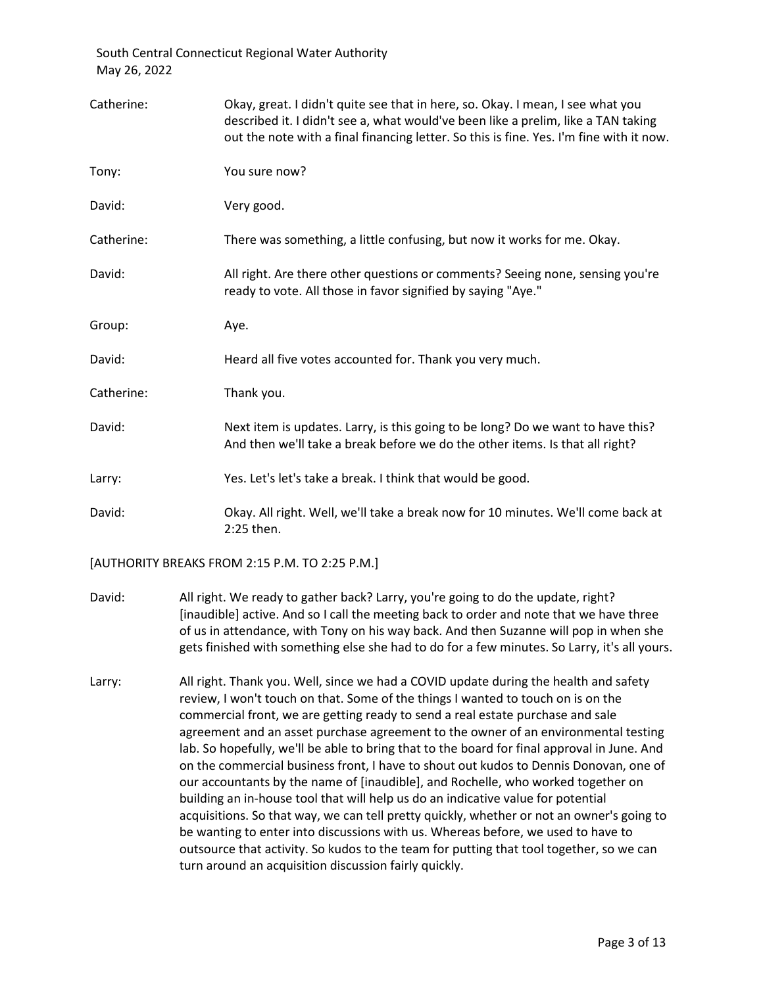| Catherine: | Okay, great. I didn't quite see that in here, so. Okay. I mean, I see what you<br>described it. I didn't see a, what would've been like a prelim, like a TAN taking<br>out the note with a final financing letter. So this is fine. Yes. I'm fine with it now. |
|------------|----------------------------------------------------------------------------------------------------------------------------------------------------------------------------------------------------------------------------------------------------------------|
| Tony:      | You sure now?                                                                                                                                                                                                                                                  |
| David:     | Very good.                                                                                                                                                                                                                                                     |
| Catherine: | There was something, a little confusing, but now it works for me. Okay.                                                                                                                                                                                        |
| David:     | All right. Are there other questions or comments? Seeing none, sensing you're<br>ready to vote. All those in favor signified by saying "Aye."                                                                                                                  |
| Group:     | Aye.                                                                                                                                                                                                                                                           |
| David:     | Heard all five votes accounted for. Thank you very much.                                                                                                                                                                                                       |
| Catherine: | Thank you.                                                                                                                                                                                                                                                     |
| David:     | Next item is updates. Larry, is this going to be long? Do we want to have this?<br>And then we'll take a break before we do the other items. Is that all right?                                                                                                |
| Larry:     | Yes. Let's let's take a break. I think that would be good.                                                                                                                                                                                                     |
| David:     | Okay. All right. Well, we'll take a break now for 10 minutes. We'll come back at<br>$2:25$ then.                                                                                                                                                               |

[AUTHORITY BREAKS FROM 2:15 P.M. TO 2:25 P.M.]

- David: All right. We ready to gather back? Larry, you're going to do the update, right? [inaudible] active. And so I call the meeting back to order and note that we have three of us in attendance, with Tony on his way back. And then Suzanne will pop in when she gets finished with something else she had to do for a few minutes. So Larry, it's all yours.
- Larry: All right. Thank you. Well, since we had a COVID update during the health and safety review, I won't touch on that. Some of the things I wanted to touch on is on the commercial front, we are getting ready to send a real estate purchase and sale agreement and an asset purchase agreement to the owner of an environmental testing lab. So hopefully, we'll be able to bring that to the board for final approval in June. And on the commercial business front, I have to shout out kudos to Dennis Donovan, one of our accountants by the name of [inaudible], and Rochelle, who worked together on building an in-house tool that will help us do an indicative value for potential acquisitions. So that way, we can tell pretty quickly, whether or not an owner's going to be wanting to enter into discussions with us. Whereas before, we used to have to outsource that activity. So kudos to the team for putting that tool together, so we can turn around an acquisition discussion fairly quickly.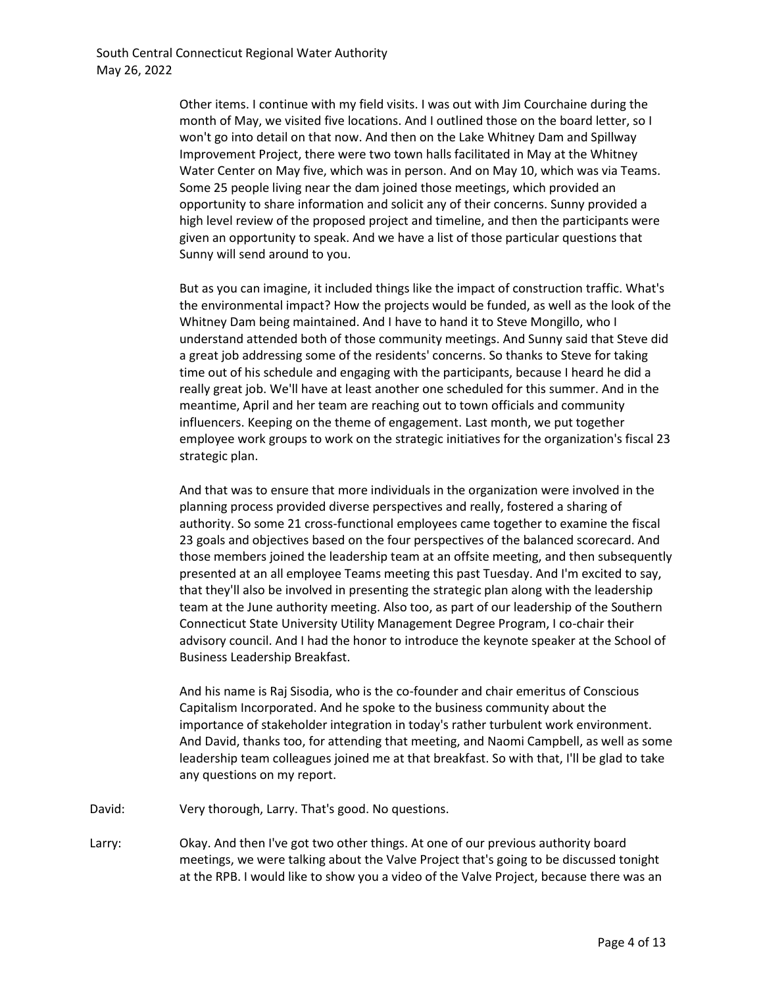Other items. I continue with my field visits. I was out with Jim Courchaine during the month of May, we visited five locations. And I outlined those on the board letter, so I won't go into detail on that now. And then on the Lake Whitney Dam and Spillway Improvement Project, there were two town halls facilitated in May at the Whitney Water Center on May five, which was in person. And on May 10, which was via Teams. Some 25 people living near the dam joined those meetings, which provided an opportunity to share information and solicit any of their concerns. Sunny provided a high level review of the proposed project and timeline, and then the participants were given an opportunity to speak. And we have a list of those particular questions that Sunny will send around to you.

But as you can imagine, it included things like the impact of construction traffic. What's the environmental impact? How the projects would be funded, as well as the look of the Whitney Dam being maintained. And I have to hand it to Steve Mongillo, who I understand attended both of those community meetings. And Sunny said that Steve did a great job addressing some of the residents' concerns. So thanks to Steve for taking time out of his schedule and engaging with the participants, because I heard he did a really great job. We'll have at least another one scheduled for this summer. And in the meantime, April and her team are reaching out to town officials and community influencers. Keeping on the theme of engagement. Last month, we put together employee work groups to work on the strategic initiatives for the organization's fiscal 23 strategic plan.

And that was to ensure that more individuals in the organization were involved in the planning process provided diverse perspectives and really, fostered a sharing of authority. So some 21 cross-functional employees came together to examine the fiscal 23 goals and objectives based on the four perspectives of the balanced scorecard. And those members joined the leadership team at an offsite meeting, and then subsequently presented at an all employee Teams meeting this past Tuesday. And I'm excited to say, that they'll also be involved in presenting the strategic plan along with the leadership team at the June authority meeting. Also too, as part of our leadership of the Southern Connecticut State University Utility Management Degree Program, I co-chair their advisory council. And I had the honor to introduce the keynote speaker at the School of Business Leadership Breakfast.

And his name is Raj Sisodia, who is the co-founder and chair emeritus of Conscious Capitalism Incorporated. And he spoke to the business community about the importance of stakeholder integration in today's rather turbulent work environment. And David, thanks too, for attending that meeting, and Naomi Campbell, as well as some leadership team colleagues joined me at that breakfast. So with that, I'll be glad to take any questions on my report.

David: Very thorough, Larry. That's good. No questions.

Larry: Okay. And then I've got two other things. At one of our previous authority board meetings, we were talking about the Valve Project that's going to be discussed tonight at the RPB. I would like to show you a video of the Valve Project, because there was an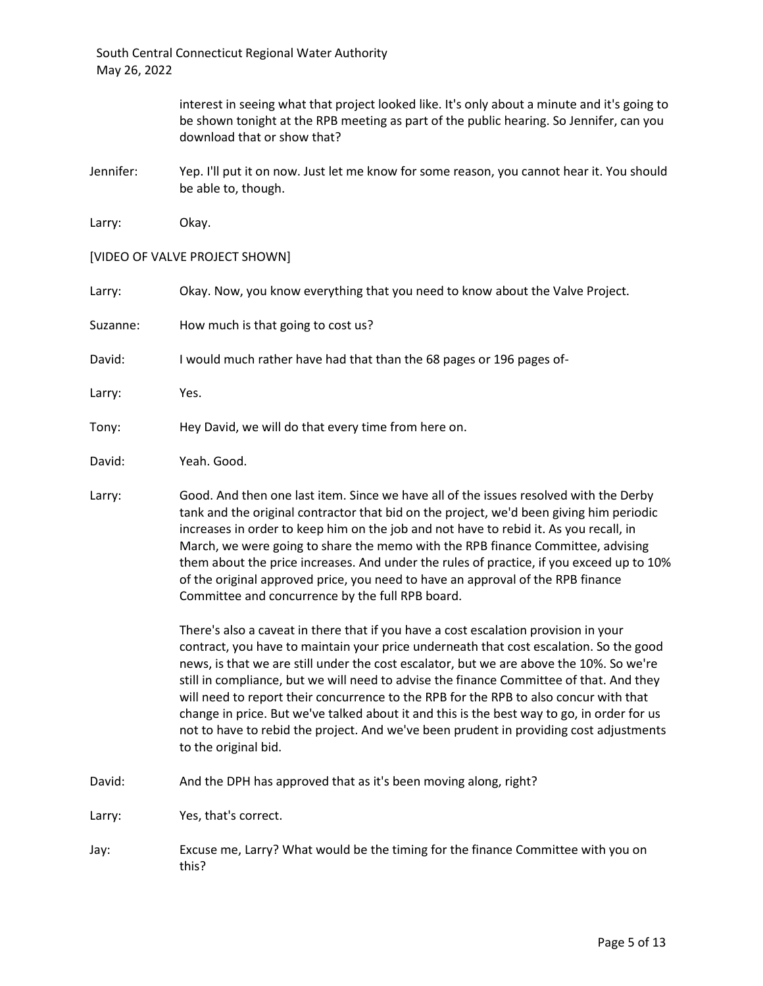> interest in seeing what that project looked like. It's only about a minute and it's going to be shown tonight at the RPB meeting as part of the public hearing. So Jennifer, can you download that or show that?

Jennifer: Yep. I'll put it on now. Just let me know for some reason, you cannot hear it. You should be able to, though.

Larry: Okay.

[VIDEO OF VALVE PROJECT SHOWN]

| Larry:   | Okay. Now, you know everything that you need to know about the Valve Project.                                                                                                                                                                                             |
|----------|---------------------------------------------------------------------------------------------------------------------------------------------------------------------------------------------------------------------------------------------------------------------------|
| Suzanne: | How much is that going to cost us?                                                                                                                                                                                                                                        |
| David:   | I would much rather have had that than the 68 pages or 196 pages of-                                                                                                                                                                                                      |
| Larry:   | Yes.                                                                                                                                                                                                                                                                      |
| Tonv:    | Hey David, we will do that every time from here on.                                                                                                                                                                                                                       |
| David:   | Yeah. Good.                                                                                                                                                                                                                                                               |
| Larry:   | Good. And then one last item. Since we have all of the issues resolved with the Derby<br>tank and the original contractor that bid on the project, we'd been giving him periodic<br>increases in order to keep him on the job and not have to rebid it. As you recall, in |

March, we were going to share the memo with the RPB finance Committee, advising them about the price increases. And under the rules of practice, if you exceed up to 10% of the original approved price, you need to have an approval of the RPB finance Committee and concurrence by the full RPB board.

There's also a caveat in there that if you have a cost escalation provision in your contract, you have to maintain your price underneath that cost escalation. So the good news, is that we are still under the cost escalator, but we are above the 10%. So we're still in compliance, but we will need to advise the finance Committee of that. And they will need to report their concurrence to the RPB for the RPB to also concur with that change in price. But we've talked about it and this is the best way to go, in order for us not to have to rebid the project. And we've been prudent in providing cost adjustments to the original bid.

David: And the DPH has approved that as it's been moving along, right?

Larry: Yes, that's correct.

Jay: Excuse me, Larry? What would be the timing for the finance Committee with you on this?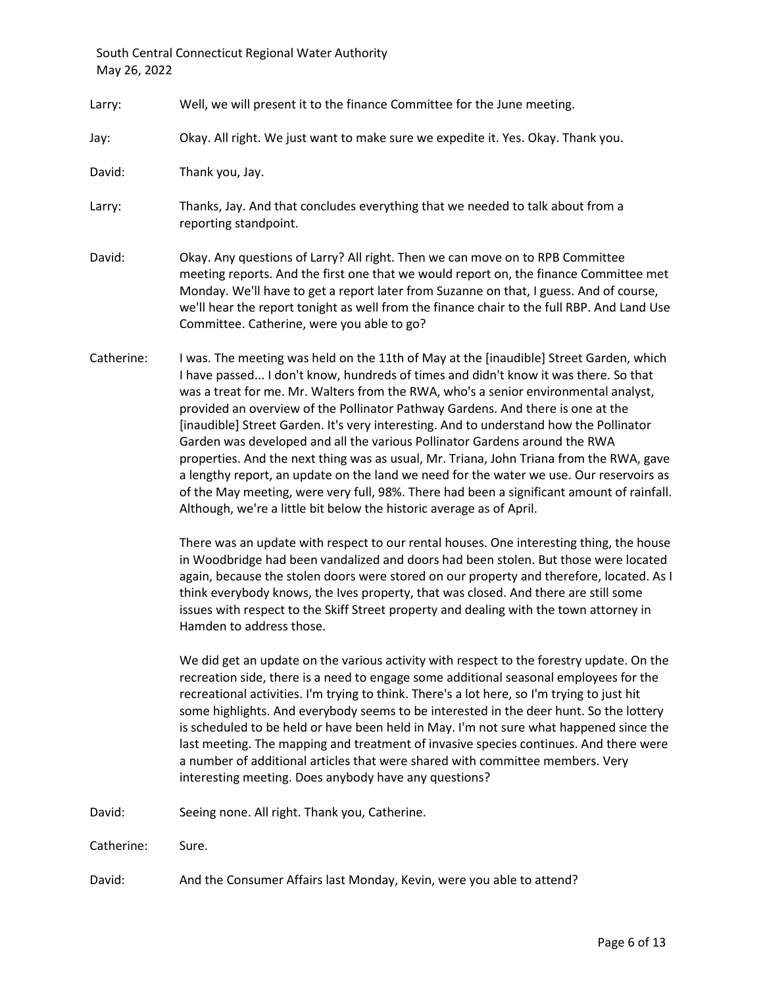- Larry: Well, we will present it to the finance Committee for the June meeting.
- Jay: Okay. All right. We just want to make sure we expedite it. Yes. Okay. Thank you.

David: Thank you, Jay.

- Larry: Thanks, Jay. And that concludes everything that we needed to talk about from a reporting standpoint.
- David: Okay. Any questions of Larry? All right. Then we can move on to RPB Committee meeting reports. And the first one that we would report on, the finance Committee met Monday. We'll have to get a report later from Suzanne on that, I guess. And of course, we'll hear the report tonight as well from the finance chair to the full RBP. And Land Use Committee. Catherine, were you able to go?
- Catherine: I was. The meeting was held on the 11th of May at the [inaudible] Street Garden, which I have passed... I don't know, hundreds of times and didn't know it was there. So that was a treat for me. Mr. Walters from the RWA, who's a senior environmental analyst, provided an overview of the Pollinator Pathway Gardens. And there is one at the [inaudible] Street Garden. It's very interesting. And to understand how the Pollinator Garden was developed and all the various Pollinator Gardens around the RWA properties. And the next thing was as usual, Mr. Triana, John Triana from the RWA, gave a lengthy report, an update on the land we need for the water we use. Our reservoirs as of the May meeting, were very full, 98%. There had been a significant amount of rainfall. Although, we're a little bit below the historic average as of April.

There was an update with respect to our rental houses. One interesting thing, the house in Woodbridge had been vandalized and doors had been stolen. But those were located again, because the stolen doors were stored on our property and therefore, located. As I think everybody knows, the Ives property, that was closed. And there are still some issues with respect to the Skiff Street property and dealing with the town attorney in Hamden to address those.

We did get an update on the various activity with respect to the forestry update. On the recreation side, there is a need to engage some additional seasonal employees for the recreational activities. I'm trying to think. There's a lot here, so I'm trying to just hit some highlights. And everybody seems to be interested in the deer hunt. So the lottery is scheduled to be held or have been held in May. I'm not sure what happened since the last meeting. The mapping and treatment of invasive species continues. And there were a number of additional articles that were shared with committee members. Very interesting meeting. Does anybody have any questions?

David: Seeing none. All right. Thank you, Catherine.

Catherine: Sure.

David: And the Consumer Affairs last Monday, Kevin, were you able to attend?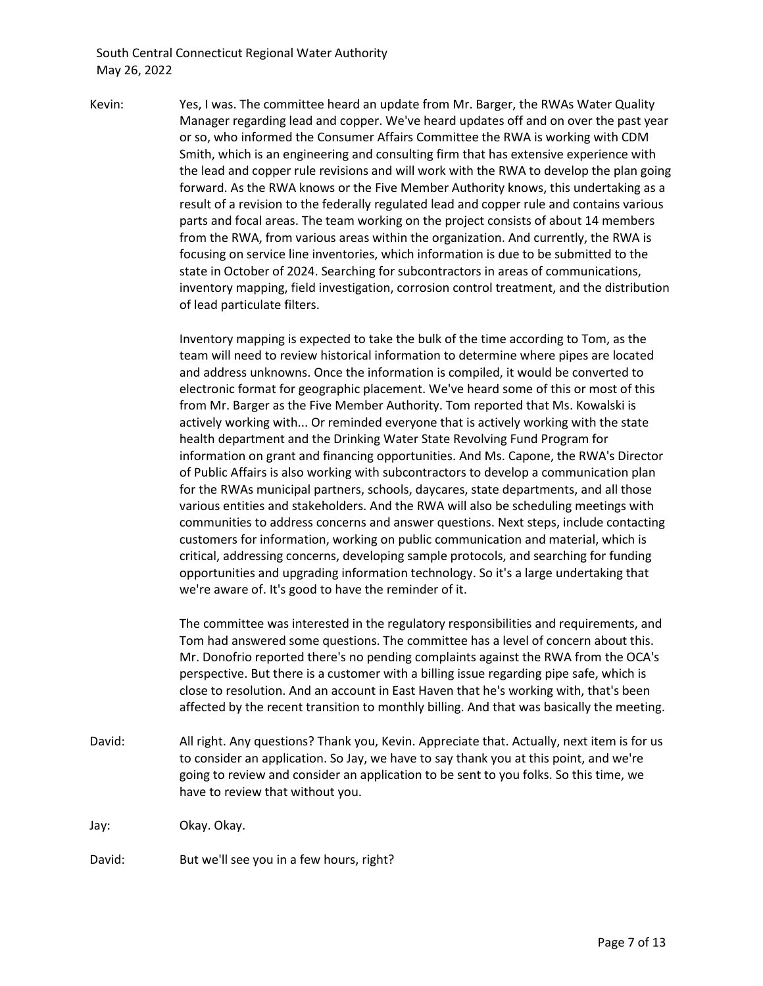Kevin: Yes, I was. The committee heard an update from Mr. Barger, the RWAs Water Quality Manager regarding lead and copper. We've heard updates off and on over the past year or so, who informed the Consumer Affairs Committee the RWA is working with CDM Smith, which is an engineering and consulting firm that has extensive experience with the lead and copper rule revisions and will work with the RWA to develop the plan going forward. As the RWA knows or the Five Member Authority knows, this undertaking as a result of a revision to the federally regulated lead and copper rule and contains various parts and focal areas. The team working on the project consists of about 14 members from the RWA, from various areas within the organization. And currently, the RWA is focusing on service line inventories, which information is due to be submitted to the state in October of 2024. Searching for subcontractors in areas of communications, inventory mapping, field investigation, corrosion control treatment, and the distribution of lead particulate filters.

> Inventory mapping is expected to take the bulk of the time according to Tom, as the team will need to review historical information to determine where pipes are located and address unknowns. Once the information is compiled, it would be converted to electronic format for geographic placement. We've heard some of this or most of this from Mr. Barger as the Five Member Authority. Tom reported that Ms. Kowalski is actively working with... Or reminded everyone that is actively working with the state health department and the Drinking Water State Revolving Fund Program for information on grant and financing opportunities. And Ms. Capone, the RWA's Director of Public Affairs is also working with subcontractors to develop a communication plan for the RWAs municipal partners, schools, daycares, state departments, and all those various entities and stakeholders. And the RWA will also be scheduling meetings with communities to address concerns and answer questions. Next steps, include contacting customers for information, working on public communication and material, which is critical, addressing concerns, developing sample protocols, and searching for funding opportunities and upgrading information technology. So it's a large undertaking that we're aware of. It's good to have the reminder of it.

> The committee was interested in the regulatory responsibilities and requirements, and Tom had answered some questions. The committee has a level of concern about this. Mr. Donofrio reported there's no pending complaints against the RWA from the OCA's perspective. But there is a customer with a billing issue regarding pipe safe, which is close to resolution. And an account in East Haven that he's working with, that's been affected by the recent transition to monthly billing. And that was basically the meeting.

David: All right. Any questions? Thank you, Kevin. Appreciate that. Actually, next item is for us to consider an application. So Jay, we have to say thank you at this point, and we're going to review and consider an application to be sent to you folks. So this time, we have to review that without you.

Jay: Okay. Okay.

David: But we'll see you in a few hours, right?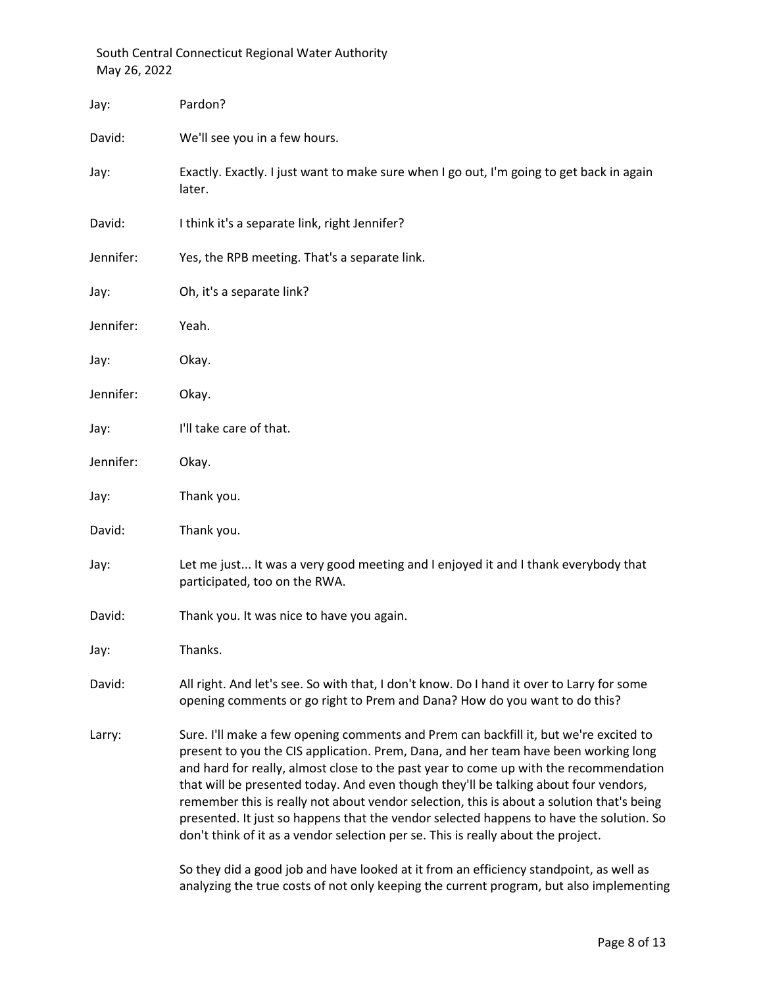| Jay:      | Pardon?                                                                                                                                                                                                                                                                                                                                                                                                                                                                                                                                                                                                                                                                                                                       |
|-----------|-------------------------------------------------------------------------------------------------------------------------------------------------------------------------------------------------------------------------------------------------------------------------------------------------------------------------------------------------------------------------------------------------------------------------------------------------------------------------------------------------------------------------------------------------------------------------------------------------------------------------------------------------------------------------------------------------------------------------------|
| David:    | We'll see you in a few hours.                                                                                                                                                                                                                                                                                                                                                                                                                                                                                                                                                                                                                                                                                                 |
| Jay:      | Exactly. Exactly. I just want to make sure when I go out, I'm going to get back in again<br>later.                                                                                                                                                                                                                                                                                                                                                                                                                                                                                                                                                                                                                            |
| David:    | I think it's a separate link, right Jennifer?                                                                                                                                                                                                                                                                                                                                                                                                                                                                                                                                                                                                                                                                                 |
| Jennifer: | Yes, the RPB meeting. That's a separate link.                                                                                                                                                                                                                                                                                                                                                                                                                                                                                                                                                                                                                                                                                 |
| Jay:      | Oh, it's a separate link?                                                                                                                                                                                                                                                                                                                                                                                                                                                                                                                                                                                                                                                                                                     |
| Jennifer: | Yeah.                                                                                                                                                                                                                                                                                                                                                                                                                                                                                                                                                                                                                                                                                                                         |
| Jay:      | Okay.                                                                                                                                                                                                                                                                                                                                                                                                                                                                                                                                                                                                                                                                                                                         |
| Jennifer: | Okay.                                                                                                                                                                                                                                                                                                                                                                                                                                                                                                                                                                                                                                                                                                                         |
| Jay:      | I'll take care of that.                                                                                                                                                                                                                                                                                                                                                                                                                                                                                                                                                                                                                                                                                                       |
| Jennifer: | Okay.                                                                                                                                                                                                                                                                                                                                                                                                                                                                                                                                                                                                                                                                                                                         |
| Jay:      | Thank you.                                                                                                                                                                                                                                                                                                                                                                                                                                                                                                                                                                                                                                                                                                                    |
| David:    | Thank you.                                                                                                                                                                                                                                                                                                                                                                                                                                                                                                                                                                                                                                                                                                                    |
| Jay:      | Let me just It was a very good meeting and I enjoyed it and I thank everybody that<br>participated, too on the RWA.                                                                                                                                                                                                                                                                                                                                                                                                                                                                                                                                                                                                           |
| David:    | Thank you. It was nice to have you again.                                                                                                                                                                                                                                                                                                                                                                                                                                                                                                                                                                                                                                                                                     |
| Jay:      | Thanks.                                                                                                                                                                                                                                                                                                                                                                                                                                                                                                                                                                                                                                                                                                                       |
| David:    | All right. And let's see. So with that, I don't know. Do I hand it over to Larry for some<br>opening comments or go right to Prem and Dana? How do you want to do this?                                                                                                                                                                                                                                                                                                                                                                                                                                                                                                                                                       |
| Larry:    | Sure. I'll make a few opening comments and Prem can backfill it, but we're excited to<br>present to you the CIS application. Prem, Dana, and her team have been working long<br>and hard for really, almost close to the past year to come up with the recommendation<br>that will be presented today. And even though they'll be talking about four vendors,<br>remember this is really not about vendor selection, this is about a solution that's being<br>presented. It just so happens that the vendor selected happens to have the solution. So<br>don't think of it as a vendor selection per se. This is really about the project.<br>did a cood igh and house looked at it from an efficiency standagint, as well as |
|           |                                                                                                                                                                                                                                                                                                                                                                                                                                                                                                                                                                                                                                                                                                                               |

So they did a good job and have looked at it from an efficiency standpoint, as well as analyzing the true costs of not only keeping the current program, but also implementing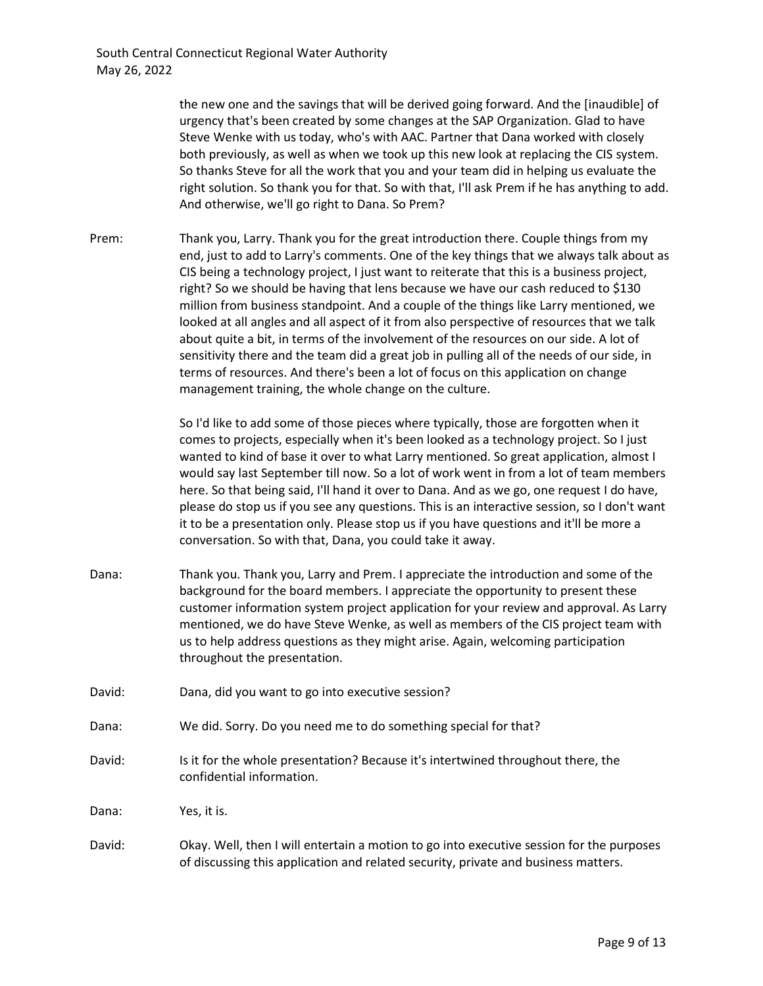the new one and the savings that will be derived going forward. And the [inaudible] of urgency that's been created by some changes at the SAP Organization. Glad to have Steve Wenke with us today, who's with AAC. Partner that Dana worked with closely both previously, as well as when we took up this new look at replacing the CIS system. So thanks Steve for all the work that you and your team did in helping us evaluate the right solution. So thank you for that. So with that, I'll ask Prem if he has anything to add. And otherwise, we'll go right to Dana. So Prem?

Prem: Thank you, Larry. Thank you for the great introduction there. Couple things from my end, just to add to Larry's comments. One of the key things that we always talk about as CIS being a technology project, I just want to reiterate that this is a business project, right? So we should be having that lens because we have our cash reduced to \$130 million from business standpoint. And a couple of the things like Larry mentioned, we looked at all angles and all aspect of it from also perspective of resources that we talk about quite a bit, in terms of the involvement of the resources on our side. A lot of sensitivity there and the team did a great job in pulling all of the needs of our side, in terms of resources. And there's been a lot of focus on this application on change management training, the whole change on the culture.

> So I'd like to add some of those pieces where typically, those are forgotten when it comes to projects, especially when it's been looked as a technology project. So I just wanted to kind of base it over to what Larry mentioned. So great application, almost I would say last September till now. So a lot of work went in from a lot of team members here. So that being said, I'll hand it over to Dana. And as we go, one request I do have, please do stop us if you see any questions. This is an interactive session, so I don't want it to be a presentation only. Please stop us if you have questions and it'll be more a conversation. So with that, Dana, you could take it away.

- Dana: Thank you. Thank you, Larry and Prem. I appreciate the introduction and some of the background for the board members. I appreciate the opportunity to present these customer information system project application for your review and approval. As Larry mentioned, we do have Steve Wenke, as well as members of the CIS project team with us to help address questions as they might arise. Again, welcoming participation throughout the presentation.
- David: Dana, did you want to go into executive session?
- Dana: We did. Sorry. Do you need me to do something special for that?
- David: Is it for the whole presentation? Because it's intertwined throughout there, the confidential information.

Dana: Yes, it is.

David: Okay. Well, then I will entertain a motion to go into executive session for the purposes of discussing this application and related security, private and business matters.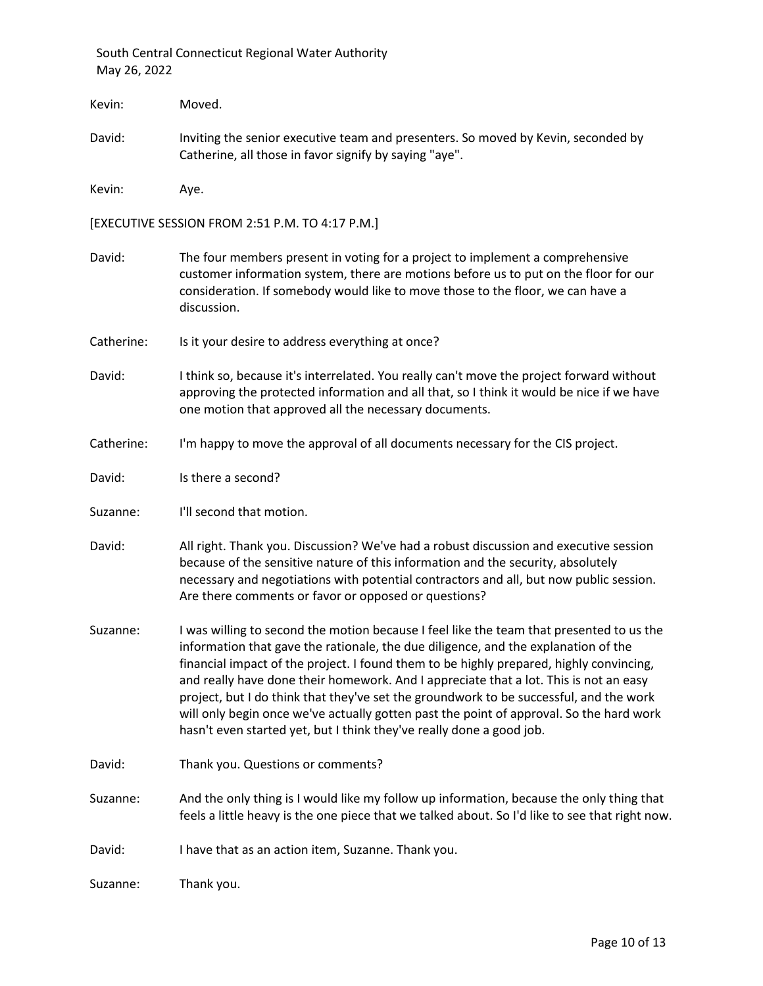Kevin: Moved. David: Inviting the senior executive team and presenters. So moved by Kevin, seconded by Catherine, all those in favor signify by saying "aye". Kevin: Aye. [EXECUTIVE SESSION FROM 2:51 P.M. TO 4:17 P.M.] David: The four members present in voting for a project to implement a comprehensive customer information system, there are motions before us to put on the floor for our consideration. If somebody would like to move those to the floor, we can have a discussion. Catherine: Is it your desire to address everything at once? David: I think so, because it's interrelated. You really can't move the project forward without approving the protected information and all that, so I think it would be nice if we have one motion that approved all the necessary documents. Catherine: I'm happy to move the approval of all documents necessary for the CIS project. David: Is there a second? Suzanne: I'll second that motion. David: All right. Thank you. Discussion? We've had a robust discussion and executive session because of the sensitive nature of this information and the security, absolutely necessary and negotiations with potential contractors and all, but now public session. Are there comments or favor or opposed or questions? Suzanne: I was willing to second the motion because I feel like the team that presented to us the information that gave the rationale, the due diligence, and the explanation of the financial impact of the project. I found them to be highly prepared, highly convincing, and really have done their homework. And I appreciate that a lot. This is not an easy project, but I do think that they've set the groundwork to be successful, and the work will only begin once we've actually gotten past the point of approval. So the hard work hasn't even started yet, but I think they've really done a good job. David: Thank you. Questions or comments? Suzanne: And the only thing is I would like my follow up information, because the only thing that feels a little heavy is the one piece that we talked about. So I'd like to see that right now. David: I have that as an action item, Suzanne. Thank you.

Suzanne: Thank you.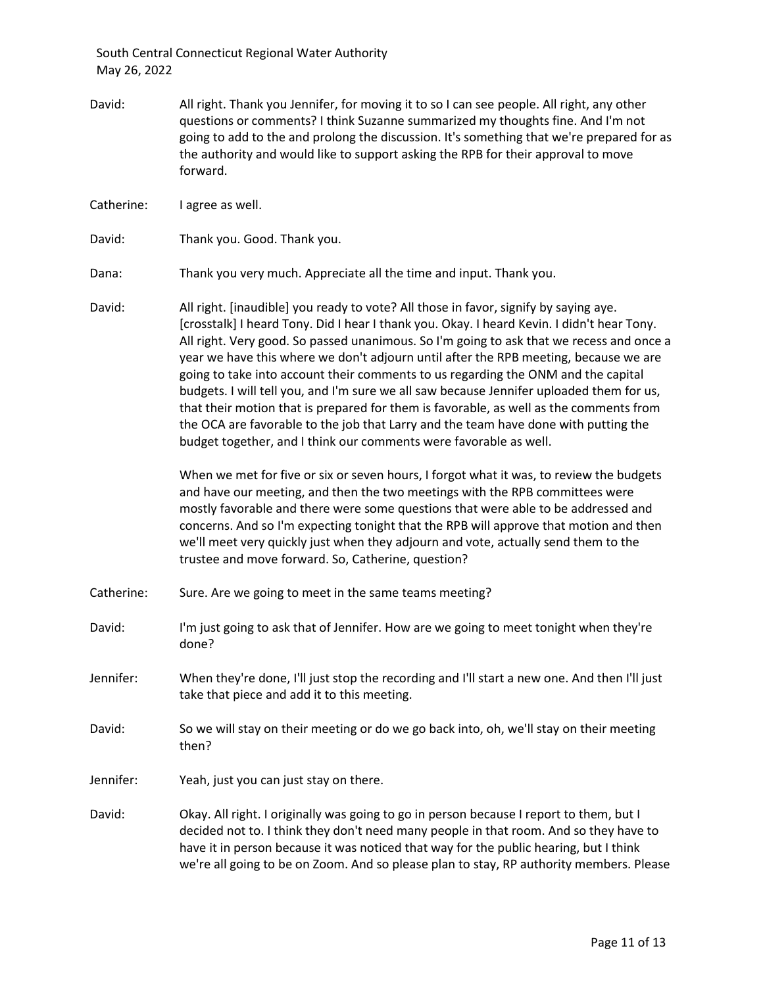David: All right. Thank you Jennifer, for moving it to so I can see people. All right, any other questions or comments? I think Suzanne summarized my thoughts fine. And I'm not going to add to the and prolong the discussion. It's something that we're prepared for as the authority and would like to support asking the RPB for their approval to move forward.

Catherine: I agree as well.

David: Thank you. Good. Thank you.

Dana: Thank you very much. Appreciate all the time and input. Thank you.

David: All right. [inaudible] you ready to vote? All those in favor, signify by saying aye. [crosstalk] I heard Tony. Did I hear I thank you. Okay. I heard Kevin. I didn't hear Tony. All right. Very good. So passed unanimous. So I'm going to ask that we recess and once a year we have this where we don't adjourn until after the RPB meeting, because we are going to take into account their comments to us regarding the ONM and the capital budgets. I will tell you, and I'm sure we all saw because Jennifer uploaded them for us, that their motion that is prepared for them is favorable, as well as the comments from the OCA are favorable to the job that Larry and the team have done with putting the budget together, and I think our comments were favorable as well.

> When we met for five or six or seven hours, I forgot what it was, to review the budgets and have our meeting, and then the two meetings with the RPB committees were mostly favorable and there were some questions that were able to be addressed and concerns. And so I'm expecting tonight that the RPB will approve that motion and then we'll meet very quickly just when they adjourn and vote, actually send them to the trustee and move forward. So, Catherine, question?

- Catherine: Sure. Are we going to meet in the same teams meeting?
- David: I'm just going to ask that of Jennifer. How are we going to meet tonight when they're done?
- Jennifer: When they're done, I'll just stop the recording and I'll start a new one. And then I'll just take that piece and add it to this meeting.
- David: So we will stay on their meeting or do we go back into, oh, we'll stay on their meeting then?
- Jennifer: Yeah, just you can just stay on there.
- David: Okay. All right. I originally was going to go in person because I report to them, but I decided not to. I think they don't need many people in that room. And so they have to have it in person because it was noticed that way for the public hearing, but I think we're all going to be on Zoom. And so please plan to stay, RP authority members. Please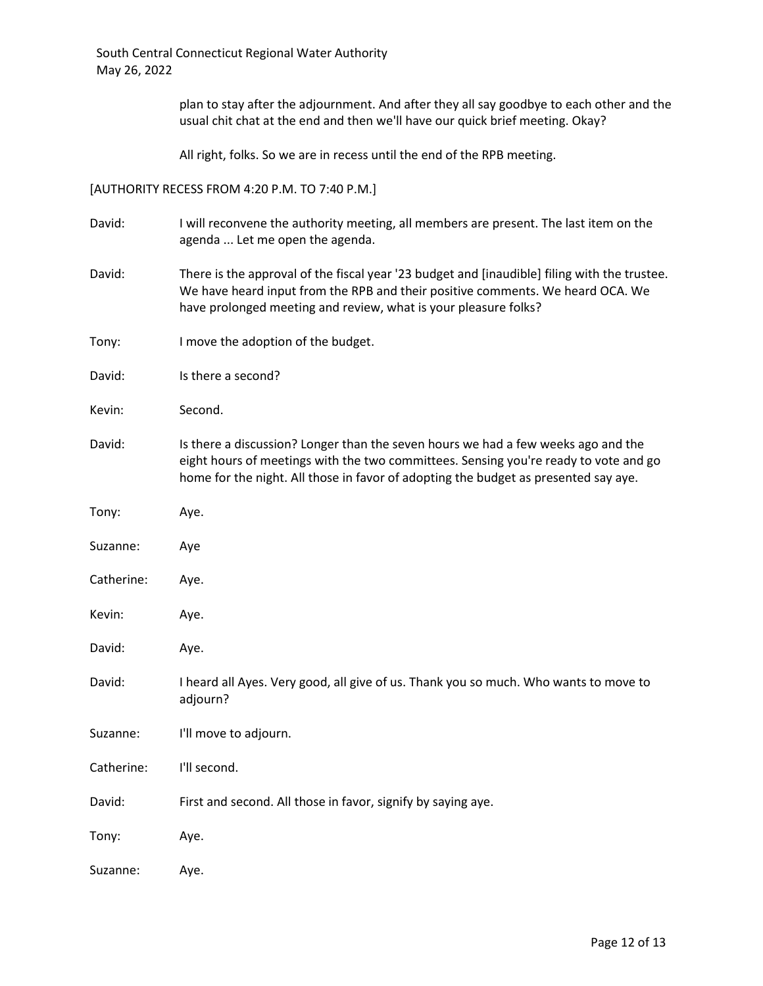plan to stay after the adjournment. And after they all say goodbye to each other and the usual chit chat at the end and then we'll have our quick brief meeting. Okay?

All right, folks. So we are in recess until the end of the RPB meeting.

[AUTHORITY RECESS FROM 4:20 P.M. TO 7:40 P.M.]

| David:     | I will reconvene the authority meeting, all members are present. The last item on the<br>agenda  Let me open the agenda.                                                                                                                                         |
|------------|------------------------------------------------------------------------------------------------------------------------------------------------------------------------------------------------------------------------------------------------------------------|
| David:     | There is the approval of the fiscal year '23 budget and [inaudible] filing with the trustee.<br>We have heard input from the RPB and their positive comments. We heard OCA. We<br>have prolonged meeting and review, what is your pleasure folks?                |
| Tony:      | I move the adoption of the budget.                                                                                                                                                                                                                               |
| David:     | Is there a second?                                                                                                                                                                                                                                               |
| Kevin:     | Second.                                                                                                                                                                                                                                                          |
| David:     | Is there a discussion? Longer than the seven hours we had a few weeks ago and the<br>eight hours of meetings with the two committees. Sensing you're ready to vote and go<br>home for the night. All those in favor of adopting the budget as presented say aye. |
| Tony:      | Aye.                                                                                                                                                                                                                                                             |
| Suzanne:   | Aye                                                                                                                                                                                                                                                              |
| Catherine: | Aye.                                                                                                                                                                                                                                                             |
| Kevin:     | Aye.                                                                                                                                                                                                                                                             |
| David:     | Aye.                                                                                                                                                                                                                                                             |
| David:     | I heard all Ayes. Very good, all give of us. Thank you so much. Who wants to move to<br>adjourn?                                                                                                                                                                 |
| Suzanne:   | I'll move to adjourn.                                                                                                                                                                                                                                            |
| Catherine: | I'll second.                                                                                                                                                                                                                                                     |
| David:     | First and second. All those in favor, signify by saying aye.                                                                                                                                                                                                     |
| Tony:      | Aye.                                                                                                                                                                                                                                                             |
| Suzanne:   | Aye.                                                                                                                                                                                                                                                             |